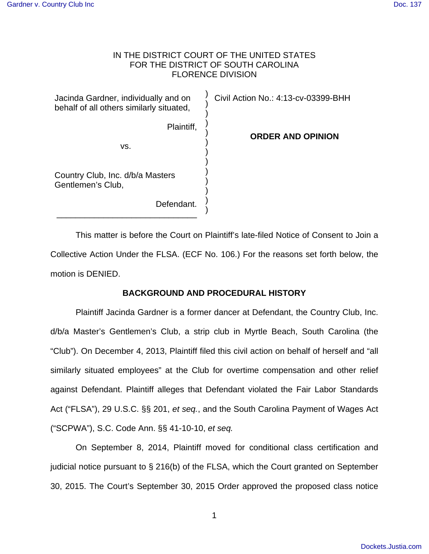## IN THE DISTRICT COURT OF THE UNITED STATES FOR THE DISTRICT OF SOUTH CAROLINA FLORENCE DIVISION

) ) ) ) ) ) ) ) ) ) ) ) )

Jacinda Gardner, individually and on behalf of all others similarly situated,

Plaintiff,

vs.

\_\_\_\_\_\_\_\_\_\_\_\_\_\_\_\_\_\_\_\_\_\_\_\_\_\_\_\_\_\_

**ORDER AND OPINION**

Civil Action No.: 4:13-cv-03399-BHH

Country Club, Inc. d/b/a Masters Gentlemen's Club,

Defendant.

 This matter is before the Court on Plaintiff's late-filed Notice of Consent to Join a Collective Action Under the FLSA. (ECF No. 106.) For the reasons set forth below, the motion is DENIED.

# **BACKGROUND AND PROCEDURAL HISTORY**

 Plaintiff Jacinda Gardner is a former dancer at Defendant, the Country Club, Inc. d/b/a Master's Gentlemen's Club, a strip club in Myrtle Beach, South Carolina (the "Club"). On December 4, 2013, Plaintiff filed this civil action on behalf of herself and "all similarly situated employees" at the Club for overtime compensation and other relief against Defendant. Plaintiff alleges that Defendant violated the Fair Labor Standards Act ("FLSA"), 29 U.S.C. §§ 201, et seq., and the South Carolina Payment of Wages Act ("SCPWA"), S.C. Code Ann. §§ 41-10-10, et seq.

On September 8, 2014, Plaintiff moved for conditional class certification and judicial notice pursuant to  $\S$  216(b) of the FLSA, which the Court granted on September 30, 2015. The Court's September 30, 2015 Order approved the proposed class notice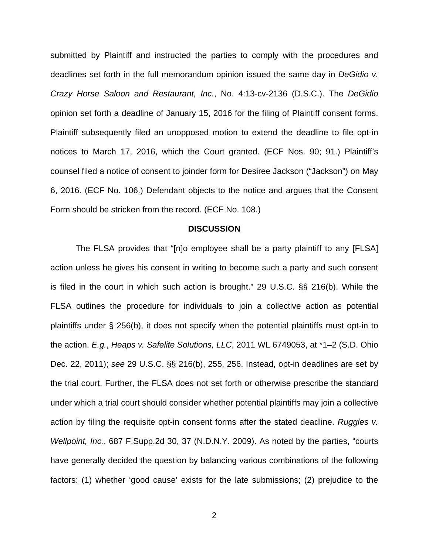submitted by Plaintiff and instructed the parties to comply with the procedures and deadlines set forth in the full memorandum opinion issued the same day in DeGidio v. Crazy Horse Saloon and Restaurant, Inc., No. 4:13-cv-2136 (D.S.C.). The DeGidio opinion set forth a deadline of January 15, 2016 for the filing of Plaintiff consent forms. Plaintiff subsequently filed an unopposed motion to extend the deadline to file opt-in notices to March 17, 2016, which the Court granted. (ECF Nos. 90; 91.) Plaintiff's counsel filed a notice of consent to joinder form for Desiree Jackson ("Jackson") on May 6, 2016. (ECF No. 106.) Defendant objects to the notice and argues that the Consent Form should be stricken from the record. (ECF No. 108.)

#### **DISCUSSION**

The FLSA provides that "[n]o employee shall be a party plaintiff to any [FLSA] action unless he gives his consent in writing to become such a party and such consent is filed in the court in which such action is brought." 29 U.S.C. §§ 216(b). While the FLSA outlines the procedure for individuals to join a collective action as potential plaintiffs under § 256(b), it does not specify when the potential plaintiffs must opt-in to the action. E.g., Heaps v. Safelite Solutions, LLC, 2011 WL 6749053, at \*1–2 (S.D. Ohio Dec. 22, 2011); see 29 U.S.C. §§ 216(b), 255, 256. Instead, opt-in deadlines are set by the trial court. Further, the FLSA does not set forth or otherwise prescribe the standard under which a trial court should consider whether potential plaintiffs may join a collective action by filing the requisite opt-in consent forms after the stated deadline. Ruggles v. Wellpoint, Inc., 687 F.Supp.2d 30, 37 (N.D.N.Y. 2009). As noted by the parties, "courts have generally decided the question by balancing various combinations of the following factors: (1) whether 'good cause' exists for the late submissions; (2) prejudice to the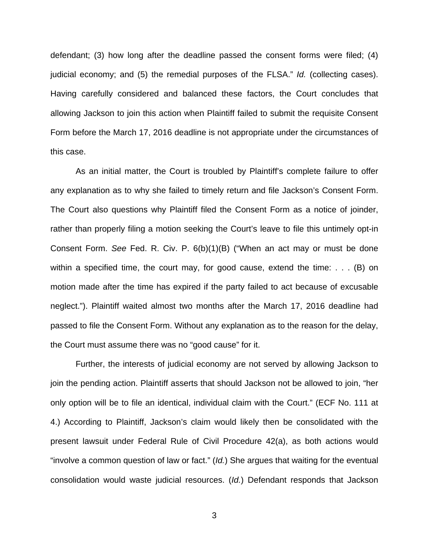defendant; (3) how long after the deadline passed the consent forms were filed; (4) judicial economy; and (5) the remedial purposes of the FLSA." Id. (collecting cases). Having carefully considered and balanced these factors, the Court concludes that allowing Jackson to join this action when Plaintiff failed to submit the requisite Consent Form before the March 17, 2016 deadline is not appropriate under the circumstances of this case.

As an initial matter, the Court is troubled by Plaintiff's complete failure to offer any explanation as to why she failed to timely return and file Jackson's Consent Form. The Court also questions why Plaintiff filed the Consent Form as a notice of joinder, rather than properly filing a motion seeking the Court's leave to file this untimely opt-in Consent Form. See Fed. R. Civ. P. 6(b)(1)(B) ("When an act may or must be done within a specified time, the court may, for good cause, extend the time: . . . (B) on motion made after the time has expired if the party failed to act because of excusable neglect."). Plaintiff waited almost two months after the March 17, 2016 deadline had passed to file the Consent Form. Without any explanation as to the reason for the delay, the Court must assume there was no "good cause" for it.

Further, the interests of judicial economy are not served by allowing Jackson to join the pending action. Plaintiff asserts that should Jackson not be allowed to join, "her only option will be to file an identical, individual claim with the Court." (ECF No. 111 at 4.) According to Plaintiff, Jackson's claim would likely then be consolidated with the present lawsuit under Federal Rule of Civil Procedure 42(a), as both actions would "involve a common question of law or fact." (Id.) She argues that waiting for the eventual consolidation would waste judicial resources. (Id.) Defendant responds that Jackson

3